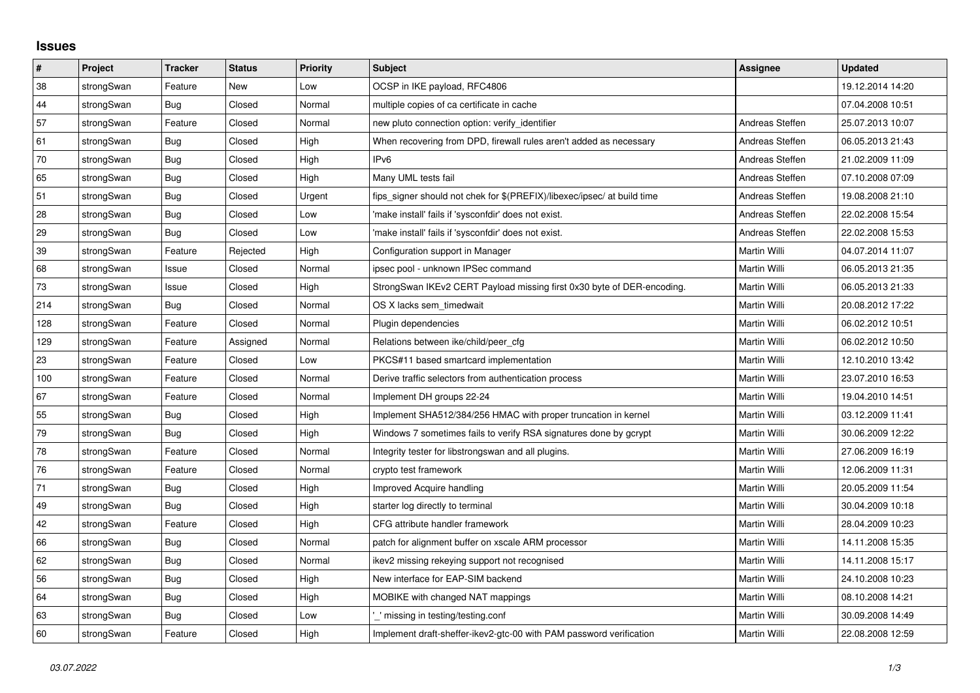## **Issues**

| $\sharp$ | Project    | <b>Tracker</b> | <b>Status</b> | <b>Priority</b> | <b>Subject</b>                                                          | <b>Assignee</b>     | <b>Updated</b>   |
|----------|------------|----------------|---------------|-----------------|-------------------------------------------------------------------------|---------------------|------------------|
| 38       | strongSwan | Feature        | New           | Low             | OCSP in IKE payload, RFC4806                                            |                     | 19.12.2014 14:20 |
| 44       | strongSwan | Bug            | Closed        | Normal          | multiple copies of ca certificate in cache                              |                     | 07.04.2008 10:51 |
| 57       | strongSwan | Feature        | Closed        | Normal          | new pluto connection option: verify identifier                          | Andreas Steffen     | 25.07.2013 10:07 |
| 61       | strongSwan | Bug            | Closed        | High            | When recovering from DPD, firewall rules aren't added as necessary      | Andreas Steffen     | 06.05.2013 21:43 |
| $70\,$   | strongSwan | Bug            | Closed        | High            | IP <sub>v6</sub>                                                        | Andreas Steffen     | 21.02.2009 11:09 |
| 65       | strongSwan | Bug            | Closed        | High            | Many UML tests fail                                                     | Andreas Steffen     | 07.10.2008 07:09 |
| 51       | strongSwan | <b>Bug</b>     | Closed        | Urgent          | fips_signer should not chek for \$(PREFIX)/libexec/ipsec/ at build time | Andreas Steffen     | 19.08.2008 21:10 |
| 28       | strongSwan | Bug            | Closed        | Low             | 'make install' fails if 'sysconfdir' does not exist.                    | Andreas Steffen     | 22.02.2008 15:54 |
| 29       | strongSwan | Bug            | Closed        | Low             | 'make install' fails if 'sysconfdir' does not exist.                    | Andreas Steffen     | 22.02.2008 15:53 |
| 39       | strongSwan | Feature        | Rejected      | High            | Configuration support in Manager                                        | Martin Willi        | 04.07.2014 11:07 |
| 68       | strongSwan | Issue          | Closed        | Normal          | ipsec pool - unknown IPSec command                                      | Martin Willi        | 06.05.2013 21:35 |
| $73\,$   | strongSwan | Issue          | Closed        | High            | StrongSwan IKEv2 CERT Payload missing first 0x30 byte of DER-encoding.  | <b>Martin Willi</b> | 06.05.2013 21:33 |
| 214      | strongSwan | Bug            | Closed        | Normal          | OS X lacks sem timedwait                                                | Martin Willi        | 20.08.2012 17:22 |
| 128      | strongSwan | Feature        | Closed        | Normal          | Plugin dependencies                                                     | Martin Willi        | 06.02.2012 10:51 |
| 129      | strongSwan | Feature        | Assigned      | Normal          | Relations between ike/child/peer_cfg                                    | Martin Willi        | 06.02.2012 10:50 |
| 23       | strongSwan | Feature        | Closed        | Low             | PKCS#11 based smartcard implementation                                  | Martin Willi        | 12.10.2010 13:42 |
| 100      | strongSwan | Feature        | Closed        | Normal          | Derive traffic selectors from authentication process                    | Martin Willi        | 23.07.2010 16:53 |
| 67       | strongSwan | Feature        | Closed        | Normal          | Implement DH groups 22-24                                               | Martin Willi        | 19.04.2010 14:51 |
| 55       | strongSwan | Bug            | Closed        | High            | Implement SHA512/384/256 HMAC with proper truncation in kernel          | Martin Willi        | 03.12.2009 11:41 |
| 79       | strongSwan | Bug            | Closed        | High            | Windows 7 sometimes fails to verify RSA signatures done by gcrypt       | Martin Willi        | 30.06.2009 12:22 |
| 78       | strongSwan | Feature        | Closed        | Normal          | Integrity tester for libstrongswan and all plugins.                     | Martin Willi        | 27.06.2009 16:19 |
| 76       | strongSwan | Feature        | Closed        | Normal          | crypto test framework                                                   | Martin Willi        | 12.06.2009 11:31 |
| $71$     | strongSwan | Bug            | Closed        | High            | Improved Acquire handling                                               | Martin Willi        | 20.05.2009 11:54 |
| 49       | strongSwan | Bug            | Closed        | High            | starter log directly to terminal                                        | Martin Willi        | 30.04.2009 10:18 |
| 42       | strongSwan | Feature        | Closed        | High            | CFG attribute handler framework                                         | Martin Willi        | 28.04.2009 10:23 |
| 66       | strongSwan | Bug            | Closed        | Normal          | patch for alignment buffer on xscale ARM processor                      | Martin Willi        | 14.11.2008 15:35 |
| 62       | strongSwan | Bug            | Closed        | Normal          | ikev2 missing rekeying support not recognised                           | Martin Willi        | 14.11.2008 15:17 |
| 56       | strongSwan | Bug            | Closed        | High            | New interface for EAP-SIM backend                                       | Martin Willi        | 24.10.2008 10:23 |
| 64       | strongSwan | Bug            | Closed        | High            | MOBIKE with changed NAT mappings                                        | Martin Willi        | 08.10.2008 14:21 |
| 63       | strongSwan | Bug            | Closed        | Low             | ' missing in testing/testing.conf                                       | Martin Willi        | 30.09.2008 14:49 |
| 60       | strongSwan | Feature        | Closed        | High            | Implement draft-sheffer-ikev2-gtc-00 with PAM password verification     | Martin Willi        | 22.08.2008 12:59 |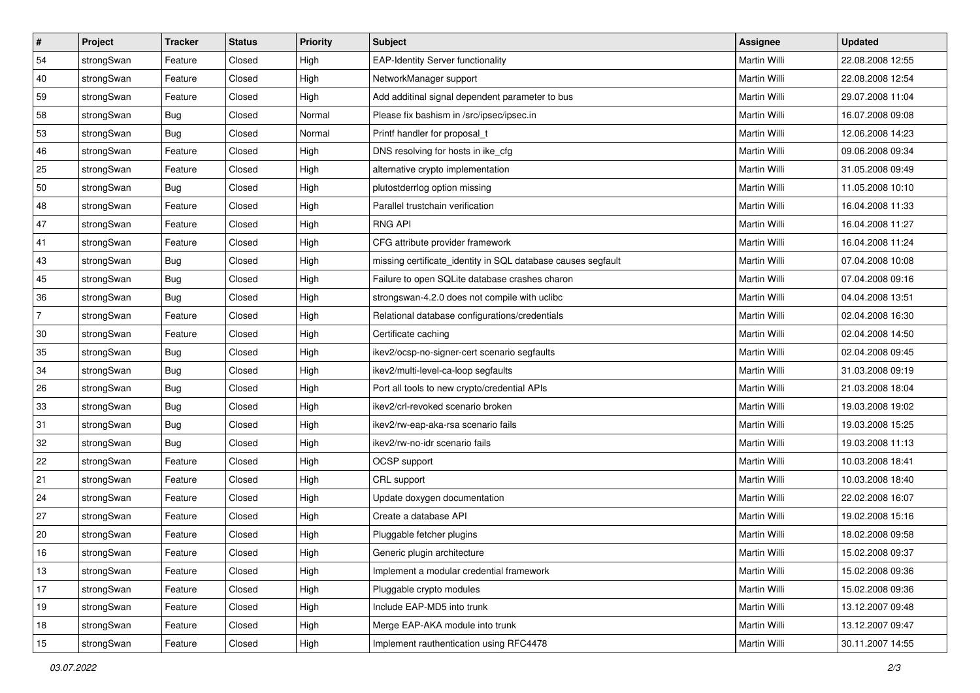| $\vert$ #      | Project    | <b>Tracker</b> | <b>Status</b> | <b>Priority</b> | <b>Subject</b>                                               | Assignee            | <b>Updated</b>   |
|----------------|------------|----------------|---------------|-----------------|--------------------------------------------------------------|---------------------|------------------|
| 54             | strongSwan | Feature        | Closed        | High            | <b>EAP-Identity Server functionality</b>                     | Martin Willi        | 22.08.2008 12:55 |
| 40             | strongSwan | Feature        | Closed        | High            | NetworkManager support                                       | <b>Martin Willi</b> | 22.08.2008 12:54 |
| 59             | strongSwan | Feature        | Closed        | High            | Add additinal signal dependent parameter to bus              | Martin Willi        | 29.07.2008 11:04 |
| 58             | strongSwan | <b>Bug</b>     | Closed        | Normal          | Please fix bashism in /src/ipsec/ipsec.in                    | Martin Willi        | 16.07.2008 09:08 |
| 53             | strongSwan | Bug            | Closed        | Normal          | Printf handler for proposal_t                                | Martin Willi        | 12.06.2008 14:23 |
| 46             | strongSwan | Feature        | Closed        | High            | DNS resolving for hosts in ike_cfg                           | Martin Willi        | 09.06.2008 09:34 |
| 25             | strongSwan | Feature        | Closed        | High            | alternative crypto implementation                            | Martin Willi        | 31.05.2008 09:49 |
| 50             | strongSwan | Bug            | Closed        | High            | plutostderrlog option missing                                | Martin Willi        | 11.05.2008 10:10 |
| 48             | strongSwan | Feature        | Closed        | High            | Parallel trustchain verification                             | Martin Willi        | 16.04.2008 11:33 |
| 47             | strongSwan | Feature        | Closed        | High            | <b>RNG API</b>                                               | Martin Willi        | 16.04.2008 11:27 |
| 41             | strongSwan | Feature        | Closed        | High            | CFG attribute provider framework                             | Martin Willi        | 16.04.2008 11:24 |
| 43             | strongSwan | <b>Bug</b>     | Closed        | High            | missing certificate_identity in SQL database causes segfault | Martin Willi        | 07.04.2008 10:08 |
| 45             | strongSwan | Bug            | Closed        | High            | Failure to open SQLite database crashes charon               | <b>Martin Willi</b> | 07.04.2008 09:16 |
| 36             | strongSwan | Bug            | Closed        | High            | strongswan-4.2.0 does not compile with uclibc                | Martin Willi        | 04.04.2008 13:51 |
| $\overline{7}$ | strongSwan | Feature        | Closed        | High            | Relational database configurations/credentials               | <b>Martin Willi</b> | 02.04.2008 16:30 |
| 30             | strongSwan | Feature        | Closed        | High            | Certificate caching                                          | Martin Willi        | 02.04.2008 14:50 |
| 35             | strongSwan | <b>Bug</b>     | Closed        | High            | ikev2/ocsp-no-signer-cert scenario segfaults                 | <b>Martin Willi</b> | 02.04.2008 09:45 |
| 34             | strongSwan | Bug            | Closed        | High            | ikev2/multi-level-ca-loop segfaults                          | <b>Martin Willi</b> | 31.03.2008 09:19 |
| 26             | strongSwan | Bug            | Closed        | High            | Port all tools to new crypto/credential APIs                 | Martin Willi        | 21.03.2008 18:04 |
| 33             | strongSwan | <b>Bug</b>     | Closed        | High            | ikev2/crl-revoked scenario broken                            | Martin Willi        | 19.03.2008 19:02 |
| 31             | strongSwan | <b>Bug</b>     | Closed        | High            | ikev2/rw-eap-aka-rsa scenario fails                          | Martin Willi        | 19.03.2008 15:25 |
| 32             | strongSwan | <b>Bug</b>     | Closed        | High            | ikev2/rw-no-idr scenario fails                               | Martin Willi        | 19.03.2008 11:13 |
| 22             | strongSwan | Feature        | Closed        | High            | OCSP support                                                 | Martin Willi        | 10.03.2008 18:41 |
| 21             | strongSwan | Feature        | Closed        | High            | CRL support                                                  | Martin Willi        | 10.03.2008 18:40 |
| 24             | strongSwan | Feature        | Closed        | High            | Update doxygen documentation                                 | Martin Willi        | 22.02.2008 16:07 |
| 27             | strongSwan | Feature        | Closed        | High            | Create a database API                                        | Martin Willi        | 19.02.2008 15:16 |
| $ 20\rangle$   | strongSwan | Feature        | Closed        | High            | Pluggable fetcher plugins                                    | Martin Willi        | 18.02.2008 09:58 |
| 16             | strongSwan | Feature        | Closed        | High            | Generic plugin architecture                                  | Martin Willi        | 15.02.2008 09:37 |
| 13             | strongSwan | Feature        | Closed        | High            | Implement a modular credential framework                     | Martin Willi        | 15.02.2008 09:36 |
| 17             | strongSwan | Feature        | Closed        | High            | Pluggable crypto modules                                     | Martin Willi        | 15.02.2008 09:36 |
| 19             | strongSwan | Feature        | Closed        | High            | Include EAP-MD5 into trunk                                   | Martin Willi        | 13.12.2007 09:48 |
| 18             | strongSwan | Feature        | Closed        | High            | Merge EAP-AKA module into trunk                              | Martin Willi        | 13.12.2007 09:47 |
| 15             | strongSwan | Feature        | Closed        | High            | Implement rauthentication using RFC4478                      | Martin Willi        | 30.11.2007 14:55 |